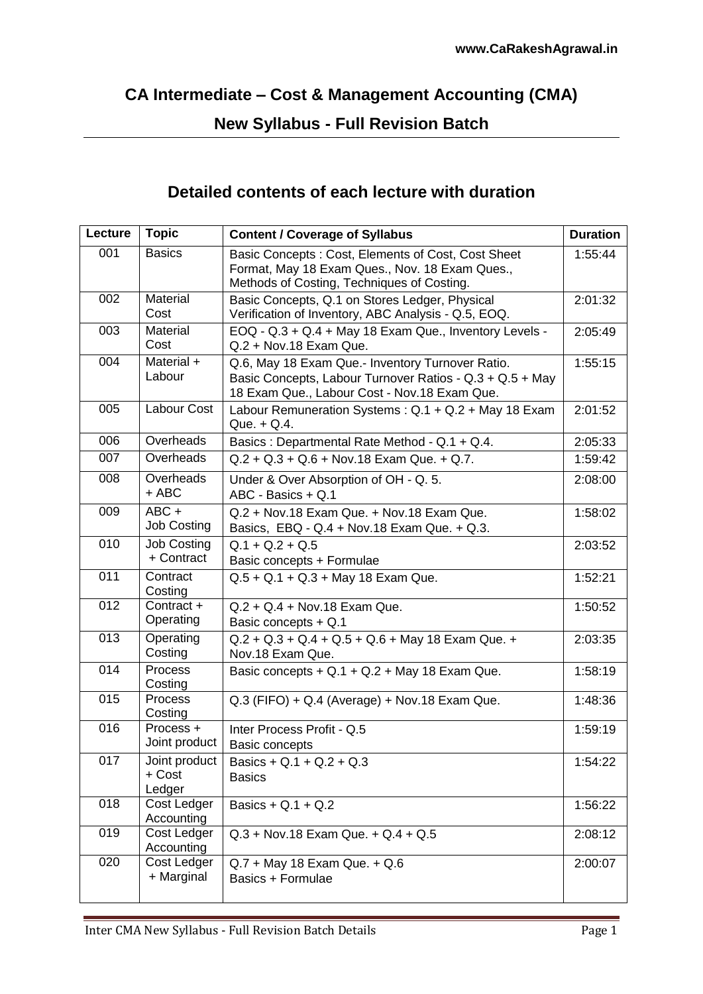## **CA Intermediate – Cost & Management Accounting (CMA)**

## **New Syllabus - Full Revision Batch**

## **Detailed contents of each lecture with duration**

| Lecture          | <b>Topic</b>                      | <b>Content / Coverage of Syllabus</b>                                                                                                                        | <b>Duration</b> |
|------------------|-----------------------------------|--------------------------------------------------------------------------------------------------------------------------------------------------------------|-----------------|
| 001              | <b>Basics</b>                     | Basic Concepts: Cost, Elements of Cost, Cost Sheet<br>Format, May 18 Exam Ques., Nov. 18 Exam Ques.,<br>Methods of Costing, Techniques of Costing.           | 1:55:44         |
| 002              | Material<br>Cost                  | Basic Concepts, Q.1 on Stores Ledger, Physical<br>Verification of Inventory, ABC Analysis - Q.5, EOQ.                                                        | 2:01:32         |
| 003              | Material<br>Cost                  | EOQ - Q.3 + Q.4 + May 18 Exam Que., Inventory Levels -<br>Q.2 + Nov.18 Exam Que.                                                                             | 2:05:49         |
| 004              | Material +<br>Labour              | Q.6, May 18 Exam Que.- Inventory Turnover Ratio.<br>Basic Concepts, Labour Turnover Ratios - Q.3 + Q.5 + May<br>18 Exam Que., Labour Cost - Nov.18 Exam Que. | 1:55:15         |
| 005              | Labour Cost                       | Labour Remuneration Systems: Q.1 + Q.2 + May 18 Exam<br>Que. $+$ Q.4.                                                                                        | 2:01:52         |
| 006              | Overheads                         | Basics: Departmental Rate Method - Q.1 + Q.4.                                                                                                                | 2:05:33         |
| 007              | Overheads                         | $Q.2 + Q.3 + Q.6 + Nov.18 Exam Que. + Q.7.$                                                                                                                  | 1:59:42         |
| 008              | Overheads<br>$+$ ABC              | Under & Over Absorption of OH - Q. 5.<br>ABC - Basics + Q.1                                                                                                  | 2:08:00         |
| 009              | $ABC +$<br><b>Job Costing</b>     | Q.2 + Nov.18 Exam Que. + Nov.18 Exam Que.<br>Basics, EBQ - Q.4 + Nov.18 Exam Que. + Q.3.                                                                     | 1:58:02         |
| 010              | <b>Job Costing</b><br>+ Contract  | $Q.1 + Q.2 + Q.5$<br>Basic concepts + Formulae                                                                                                               | 2:03:52         |
| 011              | Contract<br>Costing               | $Q.5 + Q.1 + Q.3 + May 18 Exam Que.$                                                                                                                         | 1:52:21         |
| $\overline{012}$ | Contract +<br>Operating           | $Q.2 + Q.4 + Nov.18$ Exam Que.<br>Basic concepts + Q.1                                                                                                       | 1:50:52         |
| 013              | Operating<br>Costing              | $Q.2 + Q.3 + Q.4 + Q.5 + Q.6 + May 18 Exam Que. +$<br>Nov.18 Exam Que.                                                                                       | 2:03:35         |
| 014              | Process<br>Costing                | Basic concepts + Q.1 + Q.2 + May 18 Exam Que.                                                                                                                | 1:58:19         |
| 015              | <b>Process</b><br>Costing         | Q.3 (FIFO) + Q.4 (Average) + Nov.18 Exam Que.                                                                                                                | 1:48:36         |
| 016              | Process +<br>Joint product        | Inter Process Profit - Q.5<br>Basic concepts                                                                                                                 | 1:59:19         |
| 017              | Joint product<br>+ Cost<br>Ledger | Basics + Q.1 + Q.2 + Q.3<br><b>Basics</b>                                                                                                                    | 1:54:22         |
| 018              | Cost Ledger<br>Accounting         | Basics + $Q.1 + Q.2$                                                                                                                                         | 1:56:22         |
| 019              | Cost Ledger<br>Accounting         | $Q.3 + Nov.18$ Exam Que. $+ Q.4 + Q.5$                                                                                                                       | 2:08:12         |
| 020              | Cost Ledger<br>+ Marginal         | $Q.7 + May 18 Exam Que. + Q.6$<br>Basics + Formulae                                                                                                          | 2:00:07         |